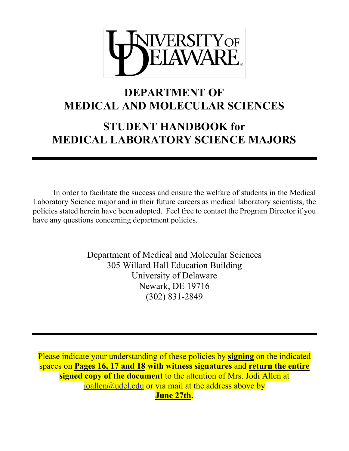

## **DEPARTMENT OF MEDICAL AND MOLECULAR SCIENCES**

# **STUDENT HANDBOOK for MEDICAL LABORATORY SCIENCE MAJORS**

In order to facilitate the success and ensure the welfare of students in the Medical Laboratory Science major and in their future careers as medical laboratory scientists, the policies stated herein have been adopted. Feel free to contact the Program Director if you have any questions concerning department policies.

> Department of Medical and Molecular Sciences 305 Willard Hall Education Building University of Delaware Newark, DE 19716 (302) 831-2849

Please indicate your understanding of these policies by **signing** on the indicated spaces on **Pages 16, 17 and 18 with witness signatures** and **return the entire signed copy of the document** to the attention of Mrs. Jodi Allen at joallen@udel.edu or via mail at the address above by **June 27th.**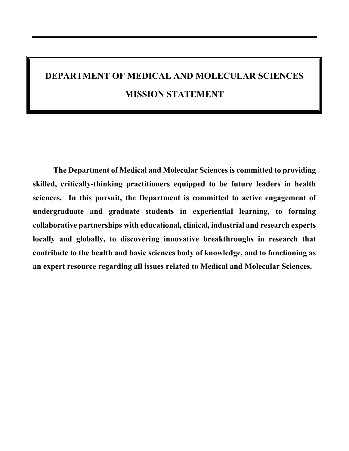# **DEPARTMENT OF MEDICAL AND MOLECULAR SCIENCES MISSION STATEMENT**

**The Department of Medical and Molecular Sciences is committed to providing skilled, critically-thinking practitioners equipped to be future leaders in health sciences. In this pursuit, the Department is committed to active engagement of undergraduate and graduate students in experiential learning, to forming collaborative partnerships with educational, clinical, industrial and research experts locally and globally, to discovering innovative breakthroughs in research that contribute to the health and basic sciences body of knowledge, and to functioning as an expert resource regarding all issues related to Medical and Molecular Sciences.**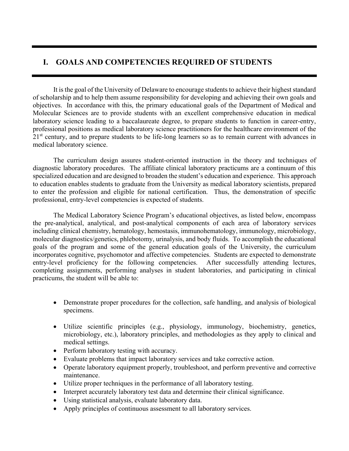## **I. GOALS AND COMPETENCIES REQUIRED OF STUDENTS**

 It is the goal of the University of Delaware to encourage students to achieve their highest standard of scholarship and to help them assume responsibility for developing and achieving their own goals and objectives. In accordance with this, the primary educational goals of the Department of Medical and Molecular Sciences are to provide students with an excellent comprehensive education in medical laboratory science leading to a baccalaureate degree, to prepare students to function in career-entry, professional positions as medical laboratory science practitioners for the healthcare environment of the 21<sup>st</sup> century, and to prepare students to be life-long learners so as to remain current with advances in medical laboratory science.

 The curriculum design assures student-oriented instruction in the theory and techniques of diagnostic laboratory procedures. The affiliate clinical laboratory practicums are a continuum of this specialized education and are designed to broaden the student's education and experience. This approach to education enables students to graduate from the University as medical laboratory scientists, prepared to enter the profession and eligible for national certification. Thus, the demonstration of specific professional, entry-level competencies is expected of students.

The Medical Laboratory Science Program's educational objectives, as listed below, encompass the pre-analytical, analytical, and post-analytical components of each area of laboratory services including clinical chemistry, hematology, hemostasis, immunohematology, immunology, microbiology, molecular diagnostics/genetics, phlebotomy, urinalysis, and body fluids. To accomplish the educational goals of the program and some of the general education goals of the University, the curriculum incorporates cognitive, psychomotor and affective competencies. Students are expected to demonstrate entry-level proficiency for the following competencies. After successfully attending lectures, completing assignments, performing analyses in student laboratories, and participating in clinical practicums, the student will be able to:

- Demonstrate proper procedures for the collection, safe handling, and analysis of biological specimens.
- Utilize scientific principles (e.g., physiology, immunology, biochemistry, genetics, microbiology, etc.), laboratory principles, and methodologies as they apply to clinical and medical settings.
- Perform laboratory testing with accuracy.
- Evaluate problems that impact laboratory services and take corrective action.
- Operate laboratory equipment properly, troubleshoot, and perform preventive and corrective maintenance.
- Utilize proper techniques in the performance of all laboratory testing.
- Interpret accurately laboratory test data and determine their clinical significance.
- Using statistical analysis, evaluate laboratory data.
- Apply principles of continuous assessment to all laboratory services.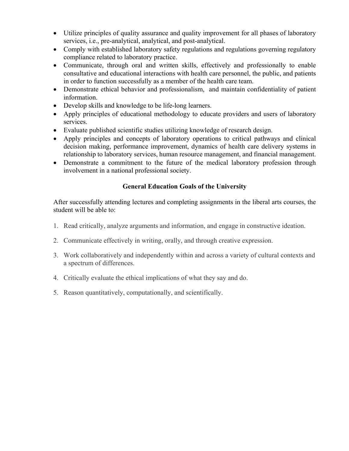- Utilize principles of quality assurance and quality improvement for all phases of laboratory services, i.e., pre-analytical, analytical, and post-analytical.
- Comply with established laboratory safety regulations and regulations governing regulatory compliance related to laboratory practice.
- Communicate, through oral and written skills, effectively and professionally to enable consultative and educational interactions with health care personnel, the public, and patients in order to function successfully as a member of the health care team.
- Demonstrate ethical behavior and professionalism, and maintain confidentiality of patient information.
- Develop skills and knowledge to be life-long learners.
- Apply principles of educational methodology to educate providers and users of laboratory services.
- Evaluate published scientific studies utilizing knowledge of research design.
- Apply principles and concepts of laboratory operations to critical pathways and clinical decision making, performance improvement, dynamics of health care delivery systems in relationship to laboratory services, human resource management, and financial management.
- Demonstrate a commitment to the future of the medical laboratory profession through involvement in a national professional society.

#### **General Education Goals of the University**

After successfully attending lectures and completing assignments in the liberal arts courses, the student will be able to:

- 1. Read critically, analyze arguments and information, and engage in constructive ideation.
- 2. Communicate effectively in writing, orally, and through creative expression.
- 3. Work collaboratively and independently within and across a variety of cultural contexts and a spectrum of differences.
- 4. Critically evaluate the ethical implications of what they say and do.
- 5. Reason quantitatively, computationally, and scientifically.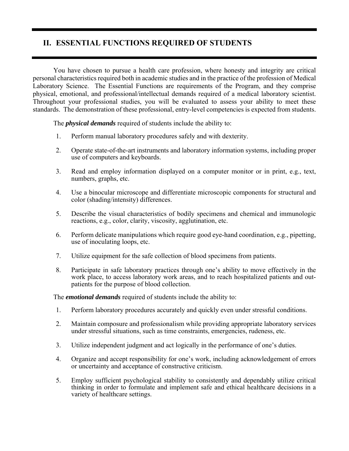## **II. ESSENTIAL FUNCTIONS REQUIRED OF STUDENTS**

 You have chosen to pursue a health care profession, where honesty and integrity are critical personal characteristics required both in academic studies and in the practice of the profession of Medical Laboratory Science. The Essential Functions are requirements of the Program, and they comprise physical, emotional, and professional/intellectual demands required of a medical laboratory scientist. Throughout your professional studies, you will be evaluated to assess your ability to meet these standards. The demonstration of these professional, entry-level competencies is expected from students.

The *physical demands* required of students include the ability to:

- 1. Perform manual laboratory procedures safely and with dexterity.
- 2. Operate state-of-the-art instruments and laboratory information systems, including proper use of computers and keyboards.
- 3. Read and employ information displayed on a computer monitor or in print, e.g., text, numbers, graphs, etc.
- 4. Use a binocular microscope and differentiate microscopic components for structural and color (shading/intensity) differences.
- 5. Describe the visual characteristics of bodily specimens and chemical and immunologic reactions, e.g., color, clarity, viscosity, agglutination, etc.
- 6. Perform delicate manipulations which require good eye-hand coordination, e.g., pipetting, use of inoculating loops, etc.
- 7. Utilize equipment for the safe collection of blood specimens from patients.
- 8. Participate in safe laboratory practices through one's ability to move effectively in the work place, to access laboratory work areas, and to reach hospitalized patients and outpatients for the purpose of blood collection.

The *emotional demands* required of students include the ability to:

- 1. Perform laboratory procedures accurately and quickly even under stressful conditions.
- 2. Maintain composure and professionalism while providing appropriate laboratory services under stressful situations, such as time constraints, emergencies, rudeness, etc.
- 3. Utilize independent judgment and act logically in the performance of one's duties.
- 4. Organize and accept responsibility for one's work, including acknowledgement of errors or uncertainty and acceptance of constructive criticism.
- 5. Employ sufficient psychological stability to consistently and dependably utilize critical thinking in order to formulate and implement safe and ethical healthcare decisions in a variety of healthcare settings.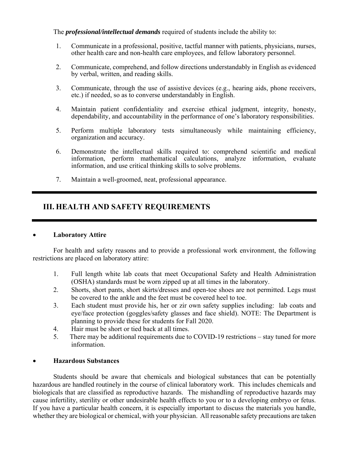The *professional/intellectual demands* required of students include the ability to:

- 1. Communicate in a professional, positive, tactful manner with patients, physicians, nurses, other health care and non-health care employees, and fellow laboratory personnel.
- 2. Communicate, comprehend, and follow directions understandably in English as evidenced by verbal, written, and reading skills.
- 3. Communicate, through the use of assistive devices (e.g., hearing aids, phone receivers, etc.) if needed, so as to converse understandably in English.
- 4. Maintain patient confidentiality and exercise ethical judgment, integrity, honesty, dependability, and accountability in the performance of one's laboratory responsibilities.
- 5. Perform multiple laboratory tests simultaneously while maintaining efficiency, organization and accuracy.
- 6. Demonstrate the intellectual skills required to: comprehend scientific and medical information, perform mathematical calculations, analyze information, evaluate information, and use critical thinking skills to solve problems.
- 7. Maintain a well-groomed, neat, professional appearance.

## **III. HEALTH AND SAFETY REQUIREMENTS**

#### **Laboratory Attire**

 For health and safety reasons and to provide a professional work environment, the following restrictions are placed on laboratory attire:

- 1. Full length white lab coats that meet Occupational Safety and Health Administration (OSHA) standards must be worn zipped up at all times in the laboratory.
- 2. Shorts, short pants, short skirts/dresses and open-toe shoes are not permitted. Legs must be covered to the ankle and the feet must be covered heel to toe.
- 3. Each student must provide his, her or zir own safety supplies including: lab coats and eye/face protection (goggles/safety glasses and face shield). NOTE: The Department is planning to provide these for students for Fall 2020.
- 4. Hair must be short or tied back at all times.
- 5. There may be additional requirements due to COVID-19 restrictions stay tuned for more information.

#### **Hazardous Substances**

 Students should be aware that chemicals and biological substances that can be potentially hazardous are handled routinely in the course of clinical laboratory work. This includes chemicals and biologicals that are classified as reproductive hazards. The mishandling of reproductive hazards may cause infertility, sterility or other undesirable health effects to you or to a developing embryo or fetus. If you have a particular health concern, it is especially important to discuss the materials you handle, whether they are biological or chemical, with your physician. All reasonable safety precautions are taken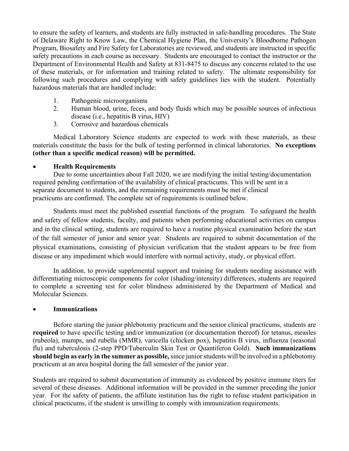to ensure the safety of learners, and students are fully instructed in safe-handling procedures. The State of Delaware Right to Know Law, the Chemical Hygiene Plan, the University's Bloodborne Pathogen Program, Biosafety and Fire Safety for Laboratories are reviewed, and students are instructed in specific safety precautions in each course as necessary. Students are encouraged to contact the instructor or the Department of Environmental Health and Safety at 831-8475 to discuss any concerns related to the use of these materials, or for information and training related to safety. The ultimate responsibility for following such procedures and complying with safety guidelines lies with the student. Potentially hazardous materials that are handled include:

- 1. Pathogenic microorganisms
- 2. Human blood, urine, feces, and body fluids which may be possible sources of infectious disease (i.e., hepatitis B virus, HIV)
- 3. Corrosive and hazardous chemicals

 Medical Laboratory Science students are expected to work with these materials, as these materials constitute the basis for the bulk of testing performed in clinical laboratories. **No exceptions (other than a specific medical reason) will be permitted.** 

#### **Health Requirements**

 Due to some uncertainties about Fall 2020, we are modifying the initial testing/documentation required pending confirmation of the availability of clinical practicums. This will be sent in a separate document to students, and the remaining requirements must be met if clinical practicums are confirmed. The complete set of requirements is outlined below.

Students must meet the published essential functions of the program. To safeguard the health and safety of fellow students, faculty, and patients when performing educational activities on campus and in the clinical setting, students are required to have a routine physical examination before the start of the fall semester of junior and senior year. Students are required to submit documentation of the physical examinations, consisting of physician verification that the student appears to be free from disease or any impediment which would interfere with normal activity, study, or physical effort.

In addition, to provide supplemental support and training for students needing assistance with differentiating microscopic components for color (shading/intensity) differences, students are required to complete a screening test for color blindness administered by the Department of Medical and Molecular Sciences.

#### **Immunizations**

 Before starting the junior phlebotomy practicum and the senior clinical practicums, students are **required** to have specific testing and/or immunization (or documentation thereof) for tetanus, measles (rubeola), mumps, and rubella (MMR), varicella (chicken pox), hepatitis B virus, influenza (seasonal flu) and tuberculosis (2-step PPD/Tuberculin Skin Test or Quantiferon Gold). **Such immunizations should begin as early in the summer as possible,** since junior students will be involved in a phlebotomy practicum at an area hospital during the fall semester of the junior year.

Students are required to submit documentation of immunity as evidenced by positive immune titers for several of these diseases. Additional information will be provided in the summer preceding the junior year. For the safety of patients, the affiliate institution has the right to refuse student participation in clinical practicums, if the student is unwilling to comply with immunization requirements.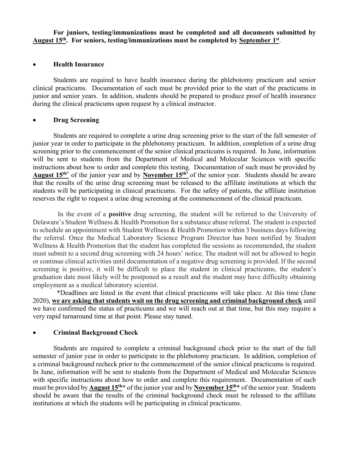**For juniors, testing/immunizations must be completed and all documents submitted by August 15th. For seniors, testing/immunizations must be completed by September 1st**.

#### **Health Insurance**

 Students are required to have health insurance during the phlebotomy practicum and senior clinical practicums. Documentation of such must be provided prior to the start of the practicums in junior and senior years. In addition, students should be prepared to produce proof of health insurance during the clinical practicums upon request by a clinical instructor.

#### **Drug Screening**

Students are required to complete a urine drug screening prior to the start of the fall semester of junior year in order to participate in the phlebotomy practicum. In addition, completion of a urine drug screening prior to the commencement of the senior clinical practicums is required. In June, information will be sent to students from the Department of Medical and Molecular Sciences with specific instructions about how to order and complete this testing. Documentation of such must be provided by **August 15th\*** of the junior year and by **November 15th\*** of the senior year. Students should be aware that the results of the urine drug screening must be released to the affiliate institutions at which the students will be participating in clinical practicums. For the safety of patients, the affiliate institution reserves the right to request a urine drug screening at the commencement of the clinical practicum.

 In the event of a **positive** drug screening, the student will be referred to the University of Delaware's Student Wellness & Health Promotion for a substance abuse referral. The student is expected to schedule an appointment with Student Wellness & Health Promotion within 3 business days following the referral. Once the Medical Laboratory Science Program Director has been notified by Student Wellness & Health Promotion that the student has completed the sessions as recommended, the student must submit to a second drug screening with 24 hours' notice. The student will not be allowed to begin or continue clinical activities until documentation of a negative drug screening is provided. If the second screening is positive, it will be difficult to place the student in clinical practicums, the student's graduation date most likely will be postponed as a result and the student may have difficulty obtaining employment as a medical laboratory scientist.

 \*Deadlines are listed in the event that clinical practicums will take place. At this time (June 2020), **we are asking that students wait on the drug screening and criminal background check** until we have confirmed the status of practicums and we will reach out at that time, but this may require a very rapid turnaround time at that point. Please stay tuned.

#### **Criminal Background Check**

Students are required to complete a criminal background check prior to the start of the fall semester of junior year in order to participate in the phlebotomy practicum. In addition, completion of a criminal background recheck prior to the commencement of the senior clinical practicums is required. In June, information will be sent to students from the Department of Medical and Molecular Sciences with specific instructions about how to order and complete this requirement. Documentation of such must be provided by **August 15th**\* of the junior year and by **November 15th**\* of the senior year. Students should be aware that the results of the criminal background check must be released to the affiliate institutions at which the students will be participating in clinical practicums.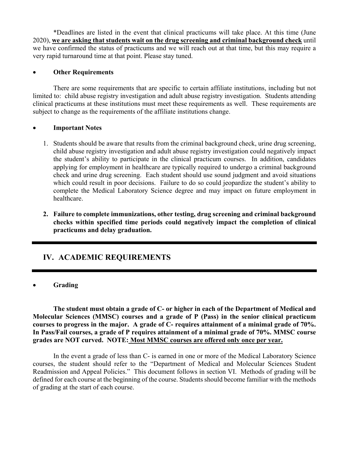\*Deadlines are listed in the event that clinical practicums will take place. At this time (June 2020), **we are asking that students wait on the drug screening and criminal background check** until we have confirmed the status of practicums and we will reach out at that time, but this may require a very rapid turnaround time at that point. Please stay tuned.

#### **Other Requirements**

 There are some requirements that are specific to certain affiliate institutions, including but not limited to: child abuse registry investigation and adult abuse registry investigation. Students attending clinical practicums at these institutions must meet these requirements as well. These requirements are subject to change as the requirements of the affiliate institutions change.

#### **Important Notes**

- 1. Students should be aware that results from the criminal background check, urine drug screening, child abuse registry investigation and adult abuse registry investigation could negatively impact the student's ability to participate in the clinical practicum courses. In addition, candidates applying for employment in healthcare are typically required to undergo a criminal background check and urine drug screening. Each student should use sound judgment and avoid situations which could result in poor decisions. Failure to do so could jeopardize the student's ability to complete the Medical Laboratory Science degree and may impact on future employment in healthcare.
- **2. Failure to complete immunizations, other testing, drug screening and criminal background checks within specified time periods could negatively impact the completion of clinical practicums and delay graduation.**

## **IV. ACADEMIC REQUIREMENTS**

#### **Grading**

 **The student must obtain a grade of C- or higher in each of the Department of Medical and Molecular Sciences (MMSC) courses and a grade of P (Pass) in the senior clinical practicum courses to progress in the major. A grade of C- requires attainment of a minimal grade of 70%. In Pass/Fail courses, a grade of P requires attainment of a minimal grade of 70%. MMSC course grades are NOT curved. NOTE: Most MMSC courses are offered only once per year.** 

 In the event a grade of less than C- is earned in one or more of the Medical Laboratory Science courses, the student should refer to the "Department of Medical and Molecular Sciences Student Readmission and Appeal Policies." This document follows in section VI. Methods of grading will be defined for each course at the beginning of the course. Students should become familiar with the methods of grading at the start of each course.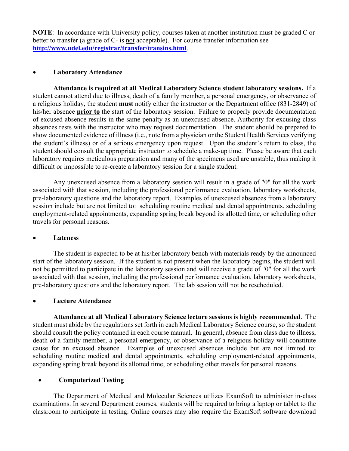**NOTE**: In accordance with University policy, courses taken at another institution must be graded C or better to transfer (a grade of C- is not acceptable). For course transfer information see **http://www.udel.edu/registrar/transfer/transins.html**.

#### **Laboratory Attendance**

**Attendance is required at all Medical Laboratory Science student laboratory sessions.** If a student cannot attend due to illness, death of a family member, a personal emergency, or observance of a religious holiday, the student **must** notify either the instructor or the Department office (831-2849) of his/her absence **prior to** the start of the laboratory session. Failure to properly provide documentation of excused absence results in the same penalty as an unexcused absence. Authority for excusing class absences rests with the instructor who may request documentation. The student should be prepared to show documented evidence of illness (i.e., note from a physician or the Student Health Services verifying the student's illness) or of a serious emergency upon request. Upon the student's return to class, the student should consult the appropriate instructor to schedule a make-up time. Please be aware that each laboratory requires meticulous preparation and many of the specimens used are unstable, thus making it difficult or impossible to re-create a laboratory session for a single student.

Any unexcused absence from a laboratory session will result in a grade of "0" for all the work associated with that session, including the professional performance evaluation, laboratory worksheets, pre-laboratory questions and the laboratory report. Examples of unexcused absences from a laboratory session include but are not limited to: scheduling routine medical and dental appointments, scheduling employment-related appointments, expanding spring break beyond its allotted time, or scheduling other travels for personal reasons.

#### **Lateness**

The student is expected to be at his/her laboratory bench with materials ready by the announced start of the laboratory session. If the student is not present when the laboratory begins, the student will not be permitted to participate in the laboratory session and will receive a grade of "0" for all the work associated with that session, including the professional performance evaluation, laboratory worksheets, pre-laboratory questions and the laboratory report. The lab session will not be rescheduled.

#### **Lecture Attendance**

**Attendance at all Medical Laboratory Science lecture sessions is highly recommended**. The student must abide by the regulations set forth in each Medical Laboratory Science course, so the student should consult the policy contained in each course manual. In general, absence from class due to illness, death of a family member, a personal emergency, or observance of a religious holiday will constitute cause for an excused absence. Examples of unexcused absences include but are not limited to: scheduling routine medical and dental appointments, scheduling employment-related appointments, expanding spring break beyond its allotted time, or scheduling other travels for personal reasons.

#### **Computerized Testing**

The Department of Medical and Molecular Sciences utilizes ExamSoft to administer in-class examinations. In several Department courses, students will be required to bring a laptop or tablet to the classroom to participate in testing. Online courses may also require the ExamSoft software download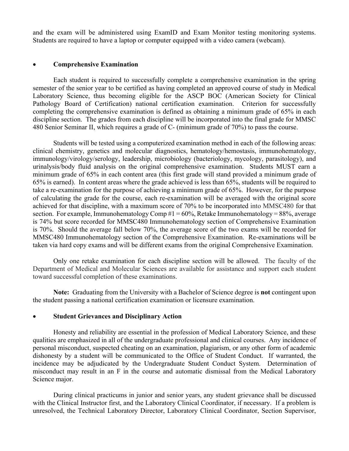and the exam will be administered using ExamID and Exam Monitor testing monitoring systems. Students are required to have a laptop or computer equipped with a video camera (webcam).

#### **Comprehensive Examination**

 Each student is required to successfully complete a comprehensive examination in the spring semester of the senior year to be certified as having completed an approved course of study in Medical Laboratory Science, thus becoming eligible for the ASCP BOC (American Society for Clinical Pathology Board of Certification) national certification examination. Criterion for successfully completing the comprehensive examination is defined as obtaining a minimum grade of 65% in each discipline section. The grades from each discipline will be incorporated into the final grade for MMSC 480 Senior Seminar II, which requires a grade of C- (minimum grade of 70%) to pass the course.

Students will be tested using a computerized examination method in each of the following areas: clinical chemistry, genetics and molecular diagnostics, hematology/hemostasis, immunohematology, immunology/virology/serology, leadership, microbiology (bacteriology, mycology, parasitology), and urinalysis/body fluid analysis on the original comprehensive examination. Students MUST earn a minimum grade of 65% in each content area (this first grade will stand provided a minimum grade of 65% is earned). In content areas where the grade achieved is less than 65%, students will be required to take a re-examination for the purpose of achieving a minimum grade of 65%. However, for the purpose of calculating the grade for the course, each re-examination will be averaged with the original score achieved for that discipline, with a maximum score of 70% to be incorporated into MMSC480 for that section. For example, Immunohematology Comp  $#1 = 60\%$ , Retake Immunohematology = 88%, average is 74% but score recorded for MMSC480 Immunohematology section of Comprehensive Examination is 70%. Should the average fall below 70%, the average score of the two exams will be recorded for MMSC480 Immunohematology section of the Comprehensive Examination. Re-examinations will be taken via hard copy exams and will be different exams from the original Comprehensive Examination.

 Only one retake examination for each discipline section will be allowed. The faculty of the Department of Medical and Molecular Sciences are available for assistance and support each student toward successful completion of these examinations.

**Note:** Graduating from the University with a Bachelor of Science degree is **not** contingent upon the student passing a national certification examination or licensure examination.

#### **Student Grievances and Disciplinary Action**

 Honesty and reliability are essential in the profession of Medical Laboratory Science, and these qualities are emphasized in all of the undergraduate professional and clinical courses. Any incidence of personal misconduct, suspected cheating on an examination, plagiarism, or any other form of academic dishonesty by a student will be communicated to the Office of Student Conduct. If warranted, the incidence may be adjudicated by the Undergraduate Student Conduct System. Determination of misconduct may result in an F in the course and automatic dismissal from the Medical Laboratory Science major.

 During clinical practicums in junior and senior years, any student grievance shall be discussed with the Clinical Instructor first, and the Laboratory Clinical Coordinator, if necessary. If a problem is unresolved, the Technical Laboratory Director, Laboratory Clinical Coordinator, Section Supervisor,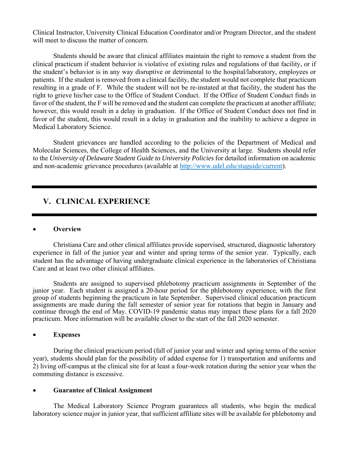Clinical Instructor, University Clinical Education Coordinator and/or Program Director, and the student will meet to discuss the matter of concern.

 Students should be aware that clinical affiliates maintain the right to remove a student from the clinical practicum if student behavior is violative of existing rules and regulations of that facility, or if the student's behavior is in any way disruptive or detrimental to the hospital/laboratory, employees or patients. If the student is removed from a clinical facility, the student would not complete that practicum resulting in a grade of F. While the student will not be re-instated at that facility, the student has the right to grieve his/her case to the Office of Student Conduct. If the Office of Student Conduct finds in favor of the student, the F will be removed and the student can complete the practicum at another affiliate; however, this would result in a delay in graduation. If the Office of Student Conduct does not find in favor of the student, this would result in a delay in graduation and the inability to achieve a degree in Medical Laboratory Science.

 Student grievances are handled according to the policies of the Department of Medical and Molecular Sciences, the College of Health Sciences, and the University at large. Students should refer to the *University of Delaware Student Guide to University Policies* for detailed information on academic and non-academic grievance procedures (available at http://www.udel.edu/stuguide/current).

### **V. CLINICAL EXPERIENCE**

#### **Overview**

 Christiana Care and other clinical affiliates provide supervised, structured, diagnostic laboratory experience in fall of the junior year and winter and spring terms of the senior year. Typically, each student has the advantage of having undergraduate clinical experience in the laboratories of Christiana Care and at least two other clinical affiliates.

Students are assigned to supervised phlebotomy practicum assignments in September of the junior year. Each student is assigned a 20-hour period for the phlebotomy experience, with the first group of students beginning the practicum in late September. Supervised clinical education practicum assignments are made during the fall semester of senior year for rotations that begin in January and continue through the end of May. COVID-19 pandemic status may impact these plans for a fall 2020 practicum. More information will be available closer to the start of the fall 2020 semester.

#### **Expenses**

 During the clinical practicum period (fall of junior year and winter and spring terms of the senior year), students should plan for the possibility of added expense for 1) transportation and uniforms and 2) living off-campus at the clinical site for at least a four-week rotation during the senior year when the commuting distance is excessive.

#### **Guarantee of Clinical Assignment**

The Medical Laboratory Science Program guarantees all students, who begin the medical laboratory science major in junior year, that sufficient affiliate sites will be available for phlebotomy and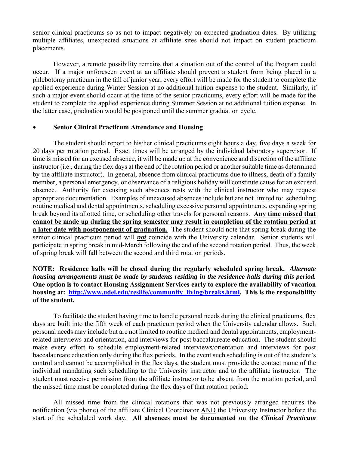senior clinical practicums so as not to impact negatively on expected graduation dates. By utilizing multiple affiliates, unexpected situations at affiliate sites should not impact on student practicum placements.

However, a remote possibility remains that a situation out of the control of the Program could occur. If a major unforeseen event at an affiliate should prevent a student from being placed in a phlebotomy practicum in the fall of junior year, every effort will be made for the student to complete the applied experience during Winter Session at no additional tuition expense to the student. Similarly, if such a major event should occur at the time of the senior practicums, every effort will be made for the student to complete the applied experience during Summer Session at no additional tuition expense. In the latter case, graduation would be postponed until the summer graduation cycle.

#### **Senior Clinical Practicum Attendance and Housing**

 The student should report to his/her clinical practicums eight hours a day, five days a week for 20 days per rotation period. Exact times will be arranged by the individual laboratory supervisor. If time is missed for an excused absence, it will be made up at the convenience and discretion of the affiliate instructor (i.e., during the flex days at the end of the rotation period or another suitable time as determined by the affiliate instructor). In general, absence from clinical practicums due to illness, death of a family member, a personal emergency, or observance of a religious holiday will constitute cause for an excused absence. Authority for excusing such absences rests with the clinical instructor who may request appropriate documentation. Examples of unexcused absences include but are not limited to: scheduling routine medical and dental appointments, scheduling excessive personal appointments, expanding spring break beyond its allotted time, or scheduling other travels for personal reasons. **Any time missed that cannot be made up during the spring semester may result in completion of the rotation period at a later date with postponement of graduation.** The student should note that spring break during the senior clinical practicum period will *not* coincide with the University calendar. Senior students will participate in spring break in mid-March following the end of the second rotation period. Thus, the week of spring break will fall between the second and third rotation periods.

#### **NOTE: Residence halls will be closed during the regularly scheduled spring break.** *Alternate housing arrangements must be made by students residing in the residence halls during this period.* **One option is to contact Housing Assignment Services early to explore the availability of vacation housing at: http://www.udel.edu/reslife/community\_living/breaks.html. This is the responsibility of the student.**

 To facilitate the student having time to handle personal needs during the clinical practicums, flex days are built into the fifth week of each practicum period when the University calendar allows. Such personal needs may include but are not limited to routine medical and dental appointments, employmentrelated interviews and orientation, and interviews for post baccalaureate education. The student should make every effort to schedule employment-related interviews/orientation and interviews for post baccalaureate education only during the flex periods. In the event such scheduling is out of the student's control and cannot be accomplished in the flex days, the student must provide the contact name of the individual mandating such scheduling to the University instructor and to the affiliate instructor. The student must receive permission from the affiliate instructor to be absent from the rotation period, and the missed time must be completed during the flex days of that rotation period.

All missed time from the clinical rotations that was not previously arranged requires the notification (via phone) of the affiliate Clinical Coordinator AND the University Instructor before the start of the scheduled work day. **All absences must be documented on the** *Clinical Practicum*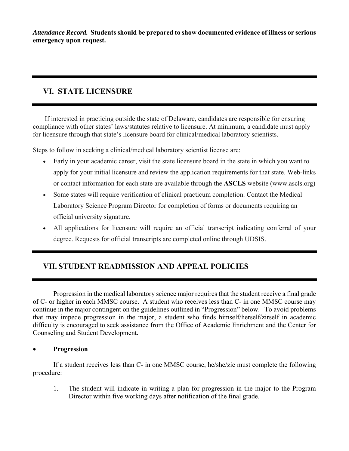*Attendance Record.* **Students should be prepared to show documented evidence of illness or serious emergency upon request.**

## **VI. STATE LICENSURE**

 If interested in practicing outside the state of Delaware, candidates are responsible for ensuring compliance with other states' laws/statutes relative to licensure. At minimum, a candidate must apply for licensure through that state's licensure board for clinical/medical laboratory scientists.

Steps to follow in seeking a clinical/medical laboratory scientist license are:

- Early in your academic career, visit the state licensure board in the state in which you want to apply for your initial licensure and review the application requirements for that state. Web-links or contact information for each state are available through the **ASCLS** website (www.ascls.org)
- Some states will require verification of clinical practicum completion. Contact the Medical Laboratory Science Program Director for completion of forms or documents requiring an official university signature.
- All applications for licensure will require an official transcript indicating conferral of your degree. Requests for official transcripts are completed online through UDSIS.

## **VII. STUDENT READMISSION AND APPEAL POLICIES**

Progression in the medical laboratory science major requires that the student receive a final grade of C- or higher in each MMSC course. A student who receives less than C- in one MMSC course may continue in the major contingent on the guidelines outlined in "Progression" below. To avoid problems that may impede progression in the major, a student who finds himself/herself/zirself in academic difficulty is encouraged to seek assistance from the Office of Academic Enrichment and the Center for Counseling and Student Development.

#### **Progression**

If a student receives less than C- in <u>one</u> MMSC course, he/she/zie must complete the following procedure:

1. The student will indicate in writing a plan for progression in the major to the Program Director within five working days after notification of the final grade.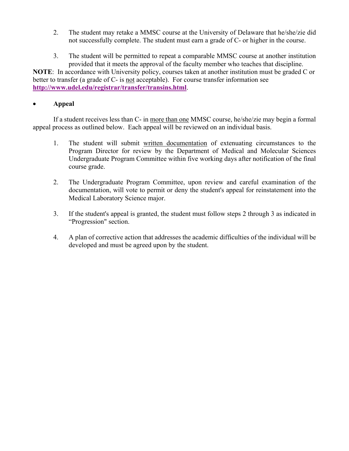- 2. The student may retake a MMSC course at the University of Delaware that he/she/zie did not successfully complete. The student must earn a grade of C- or higher in the course.
- 3. The student will be permitted to repeat a comparable MMSC course at another institution provided that it meets the approval of the faculty member who teaches that discipline.

**NOTE**: In accordance with University policy, courses taken at another institution must be graded C or better to transfer (a grade of C- is not acceptable). For course transfer information see **http://www.udel.edu/registrar/transfer/transins.html**.

#### **Appeal**

 If a student receives less than C- in more than one MMSC course, he/she/zie may begin a formal appeal process as outlined below. Each appeal will be reviewed on an individual basis.

- 1. The student will submit written documentation of extenuating circumstances to the Program Director for review by the Department of Medical and Molecular Sciences Undergraduate Program Committee within five working days after notification of the final course grade.
- 2. The Undergraduate Program Committee, upon review and careful examination of the documentation, will vote to permit or deny the student's appeal for reinstatement into the Medical Laboratory Science major.
- 3. If the student's appeal is granted, the student must follow steps 2 through 3 as indicated in "Progression" section.
- 4. A plan of corrective action that addresses the academic difficulties of the individual will be developed and must be agreed upon by the student.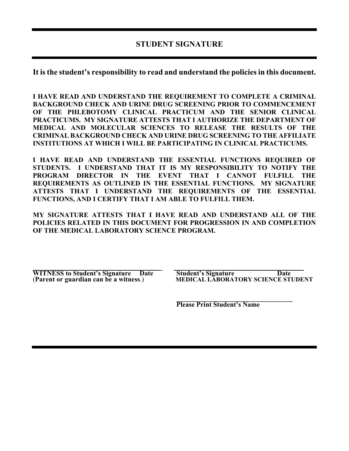## **STUDENT SIGNATURE**

**It is the student's responsibility to read and understand the policies in this document.** 

**I HAVE READ AND UNDERSTAND THE REQUIREMENT TO COMPLETE A CRIMINAL BACKGROUND CHECK AND URINE DRUG SCREENING PRIOR TO COMMENCEMENT OF THE PHLEBOTOMY CLINICAL PRACTICUM AND THE SENIOR CLINICAL PRACTICUMS. MY SIGNATURE ATTESTS THAT I AUTHORIZE THE DEPARTMENT OF MEDICAL AND MOLECULAR SCIENCES TO RELEASE THE RESULTS OF THE CRIMINAL BACKGROUND CHECK AND URINE DRUG SCREENING TO THE AFFILIATE INSTITUTIONS AT WHICH I WILL BE PARTICIPATING IN CLINICAL PRACTICUMS.** 

**I HAVE READ AND UNDERSTAND THE ESSENTIAL FUNCTIONS REQUIRED OF STUDENTS. I UNDERSTAND THAT IT IS MY RESPONSIBILITY TO NOTIFY THE PROGRAM DIRECTOR IN THE EVENT THAT I CANNOT FULFILL THE REQUIREMENTS AS OUTLINED IN THE ESSENTIAL FUNCTIONS. MY SIGNATURE ATTESTS THAT I UNDERSTAND THE REQUIREMENTS OF THE ESSENTIAL FUNCTIONS, AND I CERTIFY THAT I AM ABLE TO FULFILL THEM.** 

**MY SIGNATURE ATTESTS THAT I HAVE READ AND UNDERSTAND ALL OF THE POLICIES RELATED IN THIS DOCUMENT FOR PROGRESSION IN AND COMPLETION OF THE MEDICAL LABORATORY SCIENCE PROGRAM.**

**WITNESS to Student's Signature Date Student's Signature Date Date** (Parent or guardian can be a witness.) <br>MEDICAL LABORATORY SCIENCE STU 

(**Parent or guardian can be a witness**.) **MEDICAL LABORATORY SCIENCE STUDENT** 

 **\_\_\_\_\_\_\_\_\_\_\_\_\_\_\_\_\_\_\_\_\_\_\_\_\_\_\_\_\_\_\_\_\_\_ Please Print Student's Name**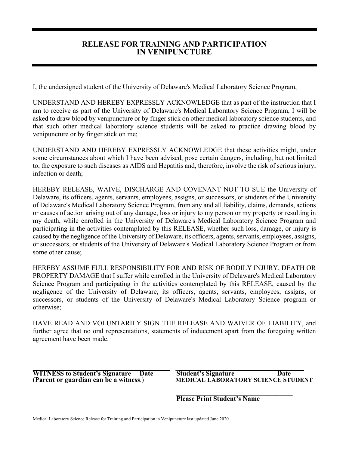## **RELEASE FOR TRAINING AND PARTICIPATION IN VENIPUNCTURE**

I, the undersigned student of the University of Delaware's Medical Laboratory Science Program,

UNDERSTAND AND HEREBY EXPRESSLY ACKNOWLEDGE that as part of the instruction that I am to receive as part of the University of Delaware's Medical Laboratory Science Program, I will be asked to draw blood by venipuncture or by finger stick on other medical laboratory science students, and that such other medical laboratory science students will be asked to practice drawing blood by venipuncture or by finger stick on me;

UNDERSTAND AND HEREBY EXPRESSLY ACKNOWLEDGE that these activities might, under some circumstances about which I have been advised, pose certain dangers, including, but not limited to, the exposure to such diseases as AIDS and Hepatitis and, therefore, involve the risk of serious injury, infection or death;

HEREBY RELEASE, WAIVE, DISCHARGE AND COVENANT NOT TO SUE the University of Delaware, its officers, agents, servants, employees, assigns, or successors, or students of the University of Delaware's Medical Laboratory Science Program, from any and all liability, claims, demands, actions or causes of action arising out of any damage, loss or injury to my person or my property or resulting in my death, while enrolled in the University of Delaware's Medical Laboratory Science Program and participating in the activities contemplated by this RELEASE, whether such loss, damage, or injury is caused by the negligence of the University of Delaware, its officers, agents, servants, employees, assigns, or successors, or students of the University of Delaware's Medical Laboratory Science Program or from some other cause;

HEREBY ASSUME FULL RESPONSIBILITY FOR AND RISK OF BODILY INJURY, DEATH OR PROPERTY DAMAGE that I suffer while enrolled in the University of Delaware's Medical Laboratory Science Program and participating in the activities contemplated by this RELEASE, caused by the negligence of the University of Delaware, its officers, agents, servants, employees, assigns, or successors, or students of the University of Delaware's Medical Laboratory Science program or otherwise;

HAVE READ AND VOLUNTARILY SIGN THE RELEASE AND WAIVER OF LIABILITY, and further agree that no oral representations, statements of inducement apart from the foregoing written agreement have been made.

**\_\_\_\_\_\_\_\_\_\_\_\_\_\_\_\_\_\_\_\_\_\_\_\_\_\_\_\_ \_\_\_\_\_\_\_ \_\_\_\_\_\_\_\_\_\_\_\_\_\_\_\_\_\_\_\_\_\_\_\_\_\_\_ \_\_\_\_\_\_\_\_ WITNESS to Student's Signature Date Student's Signature Date** 

(**Parent or guardian can be a witness**.) **MEDICAL LABORATORY SCIENCE STUDENT** 

*Please Print Student's Name* **<b>Please Print Student's Name**